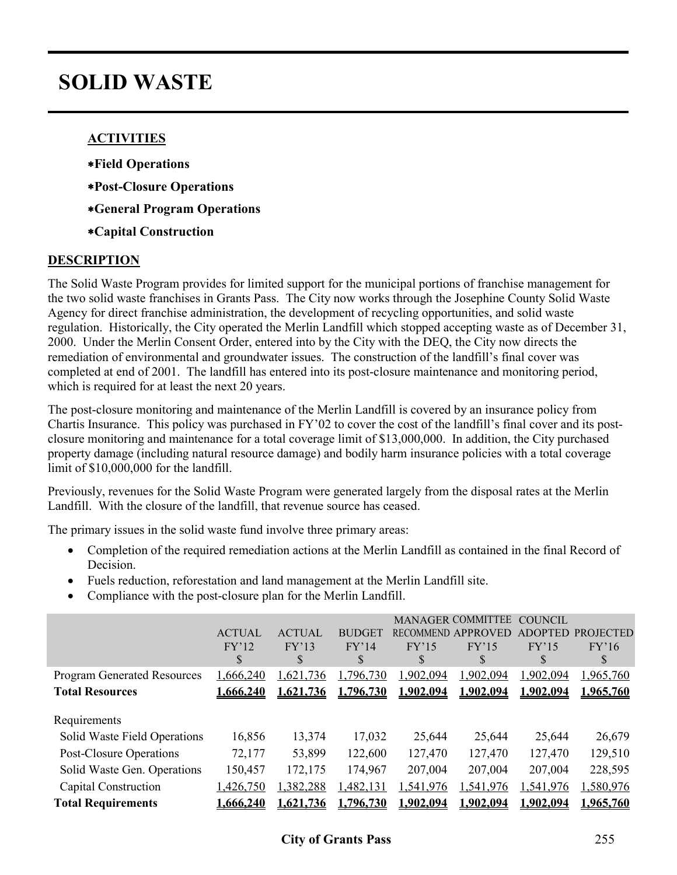# **SOLID WASTE**

#### **ACTIVITIES**

- ∗**Field Operations**
- ∗**Post-Closure Operations**
- ∗**General Program Operations**
- ∗**Capital Construction**

#### **DESCRIPTION**

The Solid Waste Program provides for limited support for the municipal portions of franchise management for the two solid waste franchises in Grants Pass. The City now works through the Josephine County Solid Waste Agency for direct franchise administration, the development of recycling opportunities, and solid waste regulation. Historically, the City operated the Merlin Landfill which stopped accepting waste as of December 31, 2000. Under the Merlin Consent Order, entered into by the City with the DEQ, the City now directs the remediation of environmental and groundwater issues. The construction of the landfill's final cover was completed at end of 2001. The landfill has entered into its post-closure maintenance and monitoring period, which is required for at least the next 20 years.

The post-closure monitoring and maintenance of the Merlin Landfill is covered by an insurance policy from Chartis Insurance. This policy was purchased in FY'02 to cover the cost of the landfill's final cover and its postclosure monitoring and maintenance for a total coverage limit of \$13,000,000. In addition, the City purchased property damage (including natural resource damage) and bodily harm insurance policies with a total coverage limit of \$10,000,000 for the landfill.

Previously, revenues for the Solid Waste Program were generated largely from the disposal rates at the Merlin Landfill. With the closure of the landfill, that revenue source has ceased.

The primary issues in the solid waste fund involve three primary areas:

- Completion of the required remediation actions at the Merlin Landfill as contained in the final Record of Decision.
- Fuels reduction, reforestation and land management at the Merlin Landfill site.
- Compliance with the post-closure plan for the Merlin Landfill.

|                                                         | <b>ACTUAL</b><br>FY'12<br>S | <b>ACTUAL</b><br>FY'13<br>\$. | <b>BUDGET</b><br>FY'14<br>S | FY'15<br>S        | <b>MANAGER COMMITTEE</b><br>RECOMMEND APPROVED<br>FY'15<br>S | <b>COUNCIL</b><br>ADOPTED<br>FY'15<br>S | <b>PROJECTED</b><br>FY'16<br>S |
|---------------------------------------------------------|-----------------------------|-------------------------------|-----------------------------|-------------------|--------------------------------------------------------------|-----------------------------------------|--------------------------------|
| <b>Program Generated Resources</b>                      | 1,666,240                   | 1,621,736                     | ,796,730                    | 1,902,094         | 1,902,094                                                    | 1,902,094                               | 1,965,760                      |
| <b>Total Resources</b>                                  | 1.666.240                   | 1.621.736                     | 1.796.730                   | 1.902.094         | 1.902.094                                                    | 1.902,094                               | 1,965,760                      |
| Requirements                                            |                             |                               |                             |                   |                                                              |                                         |                                |
| Solid Waste Field Operations<br>Post-Closure Operations | 16,856<br>72,177            | 13,374<br>53,899              | 17,032<br>122,600           | 25,644<br>127,470 | 25,644<br>127,470                                            | 25,644<br>127,470                       | 26,679<br>129,510              |
| Solid Waste Gen. Operations                             | 150,457                     | 172,175                       | 174,967                     | 207,004           | 207,004                                                      | 207,004                                 | 228,595                        |
| Capital Construction                                    | 1,426,750                   | 1,382,288                     | 1,482,131                   | 1,541,976         | 1,541,976                                                    | 1,541,976                               | 1,580,976                      |
| <b>Total Requirements</b>                               | 1,666,240                   | 1,621,736                     | 1,796,730                   | 1,902,094         | 1,902,094                                                    | 1,902,094                               | 1,965,760                      |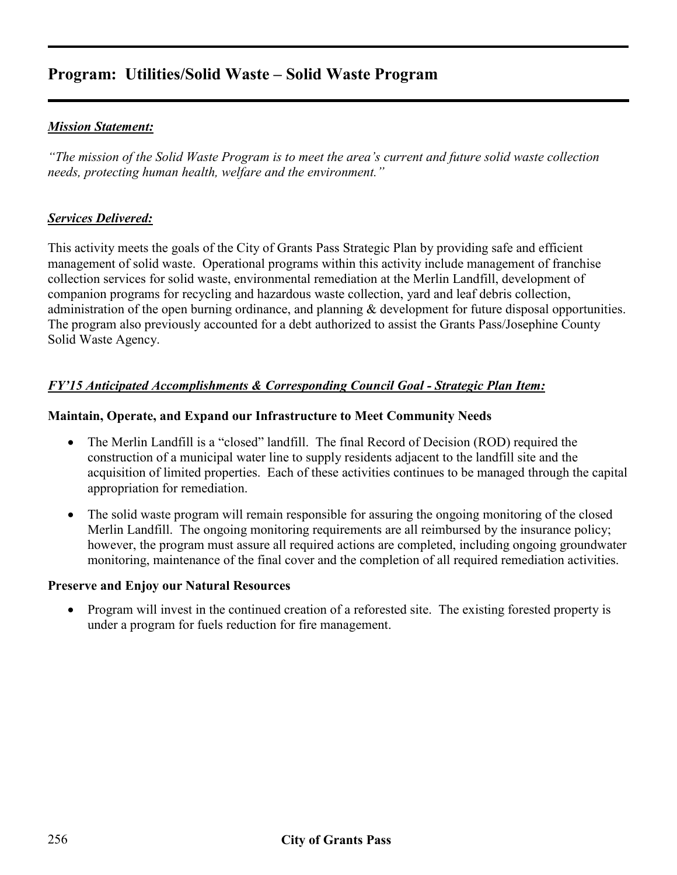# **Program: Utilities/Solid Waste – Solid Waste Program**

### *Mission Statement:*

*"The mission of the Solid Waste Program is to meet the area's current and future solid waste collection needs, protecting human health, welfare and the environment."* 

#### *Services Delivered:*

This activity meets the goals of the City of Grants Pass Strategic Plan by providing safe and efficient management of solid waste. Operational programs within this activity include management of franchise collection services for solid waste, environmental remediation at the Merlin Landfill, development of companion programs for recycling and hazardous waste collection, yard and leaf debris collection, administration of the open burning ordinance, and planning & development for future disposal opportunities. The program also previously accounted for a debt authorized to assist the Grants Pass/Josephine County Solid Waste Agency.

### *FY'15 Anticipated Accomplishments & Corresponding Council Goal - Strategic Plan Item:*

#### **Maintain, Operate, and Expand our Infrastructure to Meet Community Needs**

- The Merlin Landfill is a "closed" landfill. The final Record of Decision (ROD) required the construction of a municipal water line to supply residents adjacent to the landfill site and the acquisition of limited properties. Each of these activities continues to be managed through the capital appropriation for remediation.
- The solid waste program will remain responsible for assuring the ongoing monitoring of the closed Merlin Landfill. The ongoing monitoring requirements are all reimbursed by the insurance policy; however, the program must assure all required actions are completed, including ongoing groundwater monitoring, maintenance of the final cover and the completion of all required remediation activities.

#### **Preserve and Enjoy our Natural Resources**

• Program will invest in the continued creation of a reforested site. The existing forested property is under a program for fuels reduction for fire management.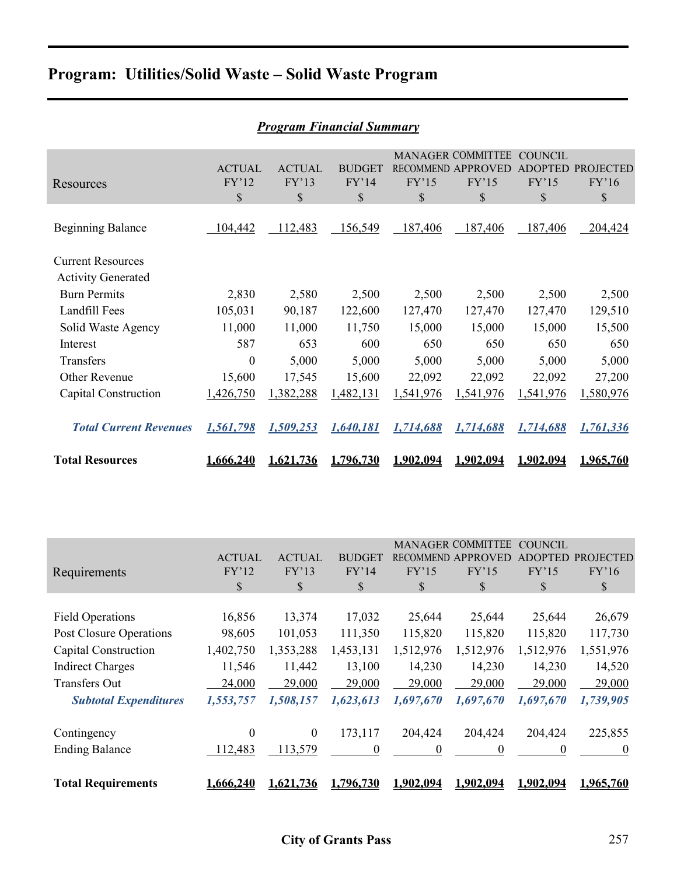# **Program: Utilities/Solid Waste – Solid Waste Program**

|                                                       |                              |                              | <b>Program Financial Summary</b>       |                       |                                                               |                                                 |                                           |
|-------------------------------------------------------|------------------------------|------------------------------|----------------------------------------|-----------------------|---------------------------------------------------------------|-------------------------------------------------|-------------------------------------------|
| Resources                                             | <b>ACTUAL</b><br>FY'12<br>\$ | <b>ACTUAL</b><br>FY'13<br>\$ | <b>BUDGET</b><br>FY'14<br>$\mathbb{S}$ | FY'15<br>$\mathbb{S}$ | <b>MANAGER COMMITTEE</b><br>RECOMMEND APPROVED<br>FY'15<br>\$ | <b>COUNCIL</b><br><b>ADOPTED</b><br>FY'15<br>\$ | <b>PROJECTED</b><br>FY'16<br>$\mathbb{S}$ |
| <b>Beginning Balance</b>                              | 104,442                      | 112,483                      | 156,549                                | 187,406               | 187,406                                                       | 187,406                                         | 204,424                                   |
| <b>Current Resources</b><br><b>Activity Generated</b> |                              |                              |                                        |                       |                                                               |                                                 |                                           |
| <b>Burn Permits</b>                                   | 2,830                        | 2,580                        | 2,500                                  | 2,500                 | 2,500                                                         | 2,500                                           | 2,500                                     |
| Landfill Fees                                         | 105,031                      | 90,187                       | 122,600                                | 127,470               | 127,470                                                       | 127,470                                         | 129,510                                   |
| Solid Waste Agency                                    | 11,000                       | 11,000                       | 11,750                                 | 15,000                | 15,000                                                        | 15,000                                          | 15,500                                    |
| Interest                                              | 587                          | 653                          | 600                                    | 650                   | 650                                                           | 650                                             | 650                                       |
| Transfers                                             | $\boldsymbol{0}$             | 5,000                        | 5,000                                  | 5,000                 | 5,000                                                         | 5,000                                           | 5,000                                     |
| Other Revenue                                         | 15,600                       | 17,545                       | 15,600                                 | 22,092                | 22,092                                                        | 22,092                                          | 27,200                                    |
| Capital Construction                                  | 1,426,750                    | 1,382,288                    | 1,482,131                              | 1,541,976             | 1,541,976                                                     | 1,541,976                                       | 1,580,976                                 |
| <b>Total Current Revenues</b>                         | 1,561,798                    | 1,509,253                    | 1,640,181                              | 1,714,688             | 1,714,688                                                     | 1,714,688                                       | 1,761,336                                 |
| <b>Total Resources</b>                                | 1,666,240                    | 1.621.736                    | 1.796.730                              | <u>1.902.094</u>      | 1,902,094                                                     | 1.902.094                                       | 1,965,760                                 |

|                              |               |               |                  |                  | <b>MANAGER COMMITTEE</b> | <b>COUNCIL</b>   |                  |
|------------------------------|---------------|---------------|------------------|------------------|--------------------------|------------------|------------------|
|                              | <b>ACTUAL</b> | <b>ACTUAL</b> | <b>BUDGET</b>    | <b>RECOMMEND</b> | <b>APPROVED</b>          | ADOPTED          | <b>PROJECTED</b> |
| Requirements                 | FY'12         | FY'13         | FY'14            | FY'15            | FY'15                    | FY'15            | FY'16            |
|                              | S             | \$            | \$               | \$               | \$                       | \$               | S                |
|                              |               |               |                  |                  |                          |                  |                  |
| <b>Field Operations</b>      | 16,856        | 13,374        | 17,032           | 25,644           | 25,644                   | 25,644           | 26,679           |
| Post Closure Operations      | 98,605        | 101,053       | 111,350          | 115,820          | 115,820                  | 115,820          | 117,730          |
| Capital Construction         | 1,402,750     | 1,353,288     | 1,453,131        | 1,512,976        | 1,512,976                | 1,512,976        | 1,551,976        |
| <b>Indirect Charges</b>      | 11,546        | 11,442        | 13,100           | 14,230           | 14,230                   | 14,230           | 14,520           |
| <b>Transfers Out</b>         | 24,000        | 29,000        | 29,000           | 29,000           | 29,000                   | 29,000           | 29,000           |
| <b>Subtotal Expenditures</b> | 1,553,757     | 1,508,157     | 1,623,613        | 1,697,670        | 1,697,670                | 1,697,670        | 1,739,905        |
|                              |               |               |                  |                  |                          |                  |                  |
| Contingency                  | $\theta$      | $\mathbf{0}$  | 173,117          | 204,424          | 204,424                  | 204,424          | 225,855          |
| <b>Ending Balance</b>        | 12,483        | 113,579       | $\boldsymbol{0}$ | 0                | 0                        | 0                | $\theta$         |
|                              |               |               |                  |                  |                          |                  |                  |
| <b>Total Requirements</b>    | 1.666.240     | 1,621,736     | 1.796.730        | 1.902.094        | 1.902.094                | <u>1.902.094</u> | 1.965.760        |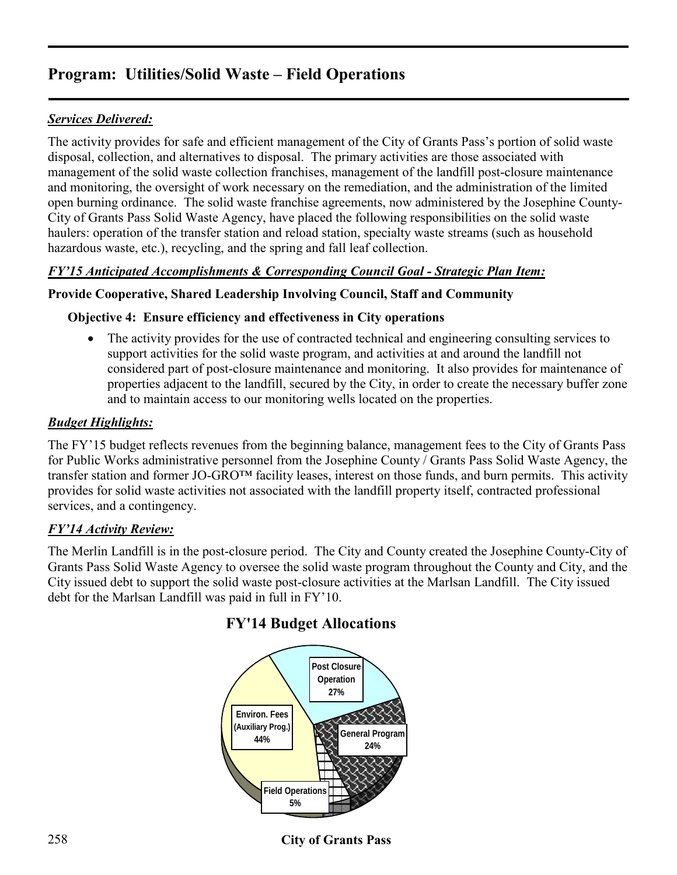# **Program: Utilities/Solid Waste – Field Operations**

# *Services Delivered:*

The activity provides for safe and efficient management of the City of Grants Pass's portion of solid waste disposal, collection, and alternatives to disposal. The primary activities are those associated with management of the solid waste collection franchises, management of the landfill post-closure maintenance and monitoring, the oversight of work necessary on the remediation, and the administration of the limited open burning ordinance. The solid waste franchise agreements, now administered by the Josephine County-City of Grants Pass Solid Waste Agency, have placed the following responsibilities on the solid waste haulers: operation of the transfer station and reload station, specialty waste streams (such as household hazardous waste, etc.), recycling, and the spring and fall leaf collection.

## *FY'15 Anticipated Accomplishments & Corresponding Council Goal - Strategic Plan Item:*

### **Provide Cooperative, Shared Leadership Involving Council, Staff and Community**

### **Objective 4: Ensure efficiency and effectiveness in City operations**

• The activity provides for the use of contracted technical and engineering consulting services to support activities for the solid waste program, and activities at and around the landfill not considered part of post-closure maintenance and monitoring. It also provides for maintenance of properties adjacent to the landfill, secured by the City, in order to create the necessary buffer zone and to maintain access to our monitoring wells located on the properties.

### *Budget Highlights:*

The FY'15 budget reflects revenues from the beginning balance, management fees to the City of Grants Pass for Public Works administrative personnel from the Josephine County / Grants Pass Solid Waste Agency, the transfer station and former JO-GRO™ facility leases, interest on those funds, and burn permits. This activity provides for solid waste activities not associated with the landfill property itself, contracted professional services, and a contingency.

#### *FY'14 Activity Review:*

The Merlin Landfill is in the post-closure period. The City and County created the Josephine County-City of Grants Pass Solid Waste Agency to oversee the solid waste program throughout the County and City, and the City issued debt to support the solid waste post-closure activities at the Marlsan Landfill. The City issued debt for the Marlsan Landfill was paid in full in FY'10.



## **FY'14 Budget Allocations**

# 258 **City of Grants Pass**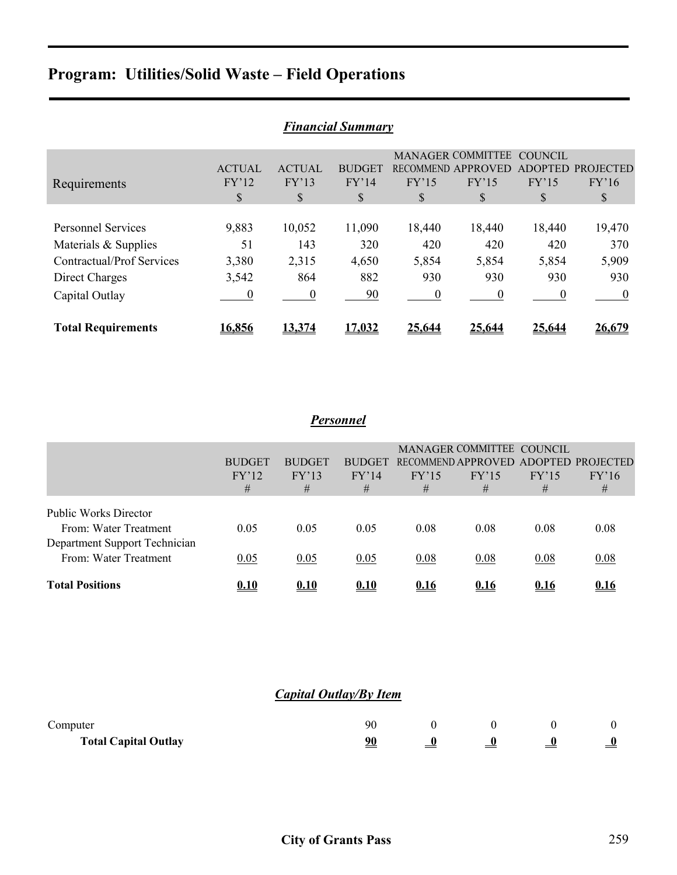# **Program: Utilities/Solid Waste – Field Operations**

| <b>Financial Summary</b>  |                |               |               |          |                          |                |                  |  |  |
|---------------------------|----------------|---------------|---------------|----------|--------------------------|----------------|------------------|--|--|
|                           |                |               |               |          | <b>MANAGER COMMITTEE</b> | <b>COUNCIL</b> |                  |  |  |
|                           | <b>ACTUAL</b>  | <b>ACTUAL</b> | <b>BUDGET</b> |          | RECOMMEND APPROVED       | <b>ADOPTED</b> | <b>PROJECTED</b> |  |  |
| Requirements              | FY'12          | FY'13         | FY'14         | FY'15    | FY'15                    | FY'15          | FY'16            |  |  |
|                           | \$             | \$            | \$            | S        | \$                       | S              | \$               |  |  |
|                           |                |               |               |          |                          |                |                  |  |  |
| <b>Personnel Services</b> | 9,883          | 10,052        | 11,090        | 18,440   | 18,440                   | 18,440         | 19,470           |  |  |
| Materials & Supplies      | 51             | 143           | 320           | 420      | 420                      | 420            | 370              |  |  |
| Contractual/Prof Services | 3,380          | 2,315         | 4,650         | 5,854    | 5,854                    | 5,854          | 5,909            |  |  |
| Direct Charges            | 3,542          | 864           | 882           | 930      | 930                      | 930            | 930              |  |  |
| Capital Outlay            | $\overline{0}$ | $\theta$      | 90            | $\theta$ | $\theta$                 | $\theta$       | $\boldsymbol{0}$ |  |  |
|                           |                |               |               |          |                          |                |                  |  |  |
| <b>Total Requirements</b> | 16,856         | 13,374        | 17.032        | 25,644   | 25.644                   | 25,644         | 26,679           |  |  |

#### *Financial Summary*

# *Personnel*

|                                                                                        | <b>BUDGET</b><br>FY'12<br># | <b>BUDGET</b><br>FY'13<br># | <b>BUDGET</b><br>FY'14<br># | FY'15<br># | MANAGER COMMITTEE COUNCIL<br>RECOMMEND APPROVED<br>FY'15<br># | FY'15<br># | ADOPTED PROJECTED<br>FY'16<br># |
|----------------------------------------------------------------------------------------|-----------------------------|-----------------------------|-----------------------------|------------|---------------------------------------------------------------|------------|---------------------------------|
| <b>Public Works Director</b><br>From: Water Treatment<br>Department Support Technician | 0.05                        | 0.05                        | 0.05                        | 0.08       | 0.08                                                          | 0.08       | 0.08                            |
| From: Water Treatment                                                                  | 0.05                        | 0.05                        | 0.05                        | 0.08       | 0.08                                                          | 0.08       | 0.08                            |
| <b>Total Positions</b>                                                                 | 0.10                        | 0.10                        | 0.10                        | 0.16       | 0.16                                                          | 0.16       | 0.16                            |

### *Capital Outlay/By Item*

| Computer                    | 90 |  |   |
|-----------------------------|----|--|---|
| <b>Total Capital Outlay</b> |    |  | 0 |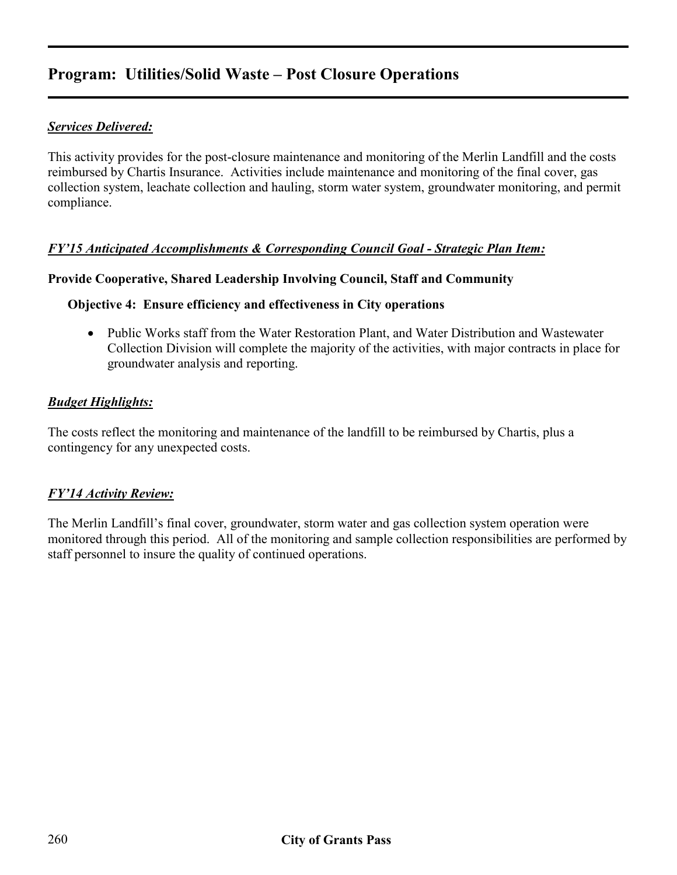# **Program: Utilities/Solid Waste – Post Closure Operations**

## *Services Delivered:*

This activity provides for the post-closure maintenance and monitoring of the Merlin Landfill and the costs reimbursed by Chartis Insurance. Activities include maintenance and monitoring of the final cover, gas collection system, leachate collection and hauling, storm water system, groundwater monitoring, and permit compliance.

### *FY'15 Anticipated Accomplishments & Corresponding Council Goal - Strategic Plan Item:*

#### **Provide Cooperative, Shared Leadership Involving Council, Staff and Community**

#### **Objective 4: Ensure efficiency and effectiveness in City operations**

• Public Works staff from the Water Restoration Plant, and Water Distribution and Wastewater Collection Division will complete the majority of the activities, with major contracts in place for groundwater analysis and reporting.

#### *Budget Highlights:*

The costs reflect the monitoring and maintenance of the landfill to be reimbursed by Chartis, plus a contingency for any unexpected costs.

#### *FY'14 Activity Review:*

The Merlin Landfill's final cover, groundwater, storm water and gas collection system operation were monitored through this period. All of the monitoring and sample collection responsibilities are performed by staff personnel to insure the quality of continued operations.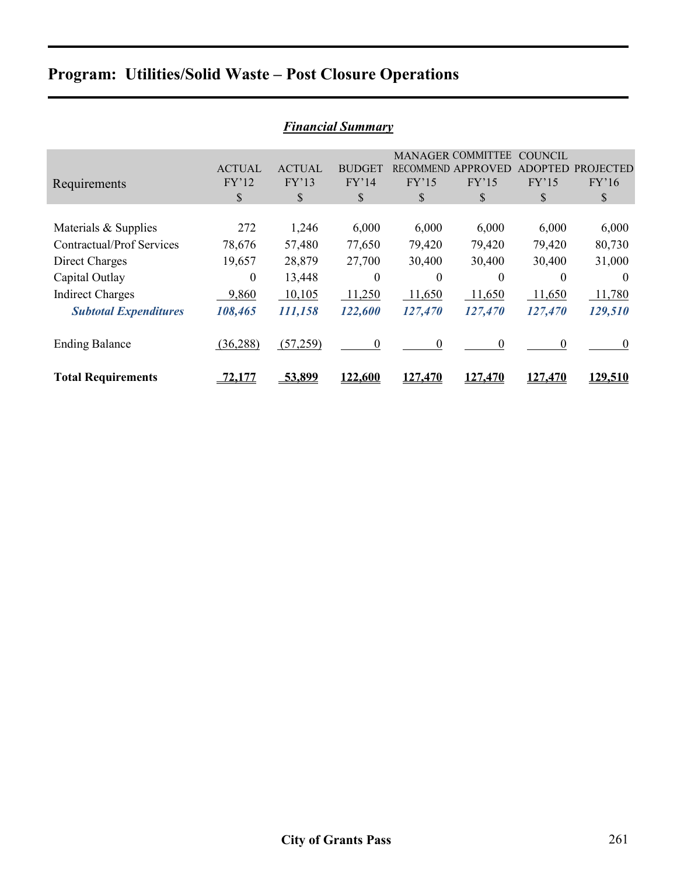# **Program: Utilities/Solid Waste – Post Closure Operations**

| <b>Financial Summary</b>         |               |               |                  |                  |                          |                |                  |  |  |
|----------------------------------|---------------|---------------|------------------|------------------|--------------------------|----------------|------------------|--|--|
|                                  |               |               |                  |                  | <b>MANAGER COMMITTEE</b> | <b>COUNCIL</b> |                  |  |  |
|                                  | <b>ACTUAL</b> | <b>ACTUAL</b> | <b>BUDGET</b>    | <b>RECOMMEND</b> | <b>APPROVED</b>          | <b>ADOPTED</b> | <b>PROJECTED</b> |  |  |
| Requirements                     | FY'12         | FY'13         | FY'14            | FY'15            | FY'15                    | FY'15          | FY'16            |  |  |
|                                  | \$            | \$            | \$               | \$               | \$                       | \$             | \$               |  |  |
|                                  |               |               |                  |                  |                          |                |                  |  |  |
| Materials & Supplies             | 272           | 1,246         | 6,000            | 6,000            | 6,000                    | 6,000          | 6,000            |  |  |
| <b>Contractual/Prof Services</b> | 78,676        | 57,480        | 77,650           | 79,420           | 79,420                   | 79,420         | 80,730           |  |  |
| Direct Charges                   | 19,657        | 28,879        | 27,700           | 30,400           | 30,400                   | 30,400         | 31,000           |  |  |
| Capital Outlay                   | $\Omega$      | 13,448        | $\theta$         | $\theta$         | $\Omega$                 | 0              | $\theta$         |  |  |
| <b>Indirect Charges</b>          | 9,860         | 10,105        | 11,250           | 11,650           | 11,650                   | 11,650         | 11,780           |  |  |
| <b>Subtotal Expenditures</b>     | 108,465       | 111,158       | 122,600          | 127,470          | 127,470                  | 127,470        | 129,510          |  |  |
|                                  |               |               |                  |                  |                          |                |                  |  |  |
| <b>Ending Balance</b>            | (36, 288)     | (57,259)      | $\boldsymbol{0}$ | $\Omega$         | $\theta$                 | $\Omega$       | $\theta$         |  |  |
|                                  |               |               |                  |                  |                          |                |                  |  |  |
| <b>Total Requirements</b>        | <u> 2,177</u> | 53,899        | 122,600          | 127,470          | 127,470                  | 127,470        | 129,510          |  |  |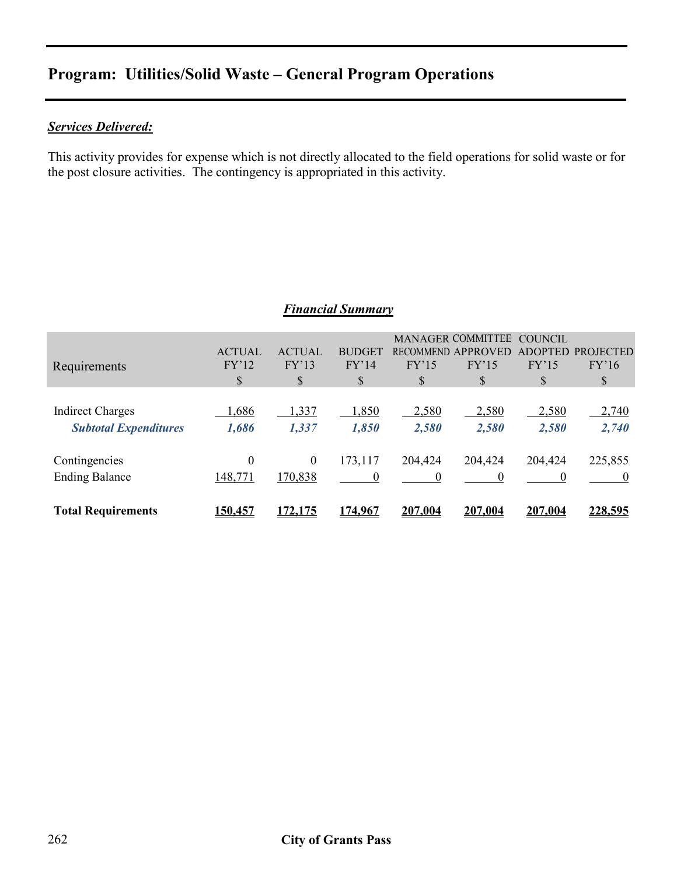# **Program: Utilities/Solid Waste – General Program Operations**

## *Services Delivered:*

This activity provides for expense which is not directly allocated to the field operations for solid waste or for the post closure activities. The contingency is appropriated in this activity.

### *Financial Summary*

| Requirements                                            | <b>ACTUAL</b><br>FY'12<br>\$ | <b>ACTUAL</b><br>FY'13<br>\$ | <b>BUDGET</b><br>FY'14<br>\$ | FY'15<br>S     | <b>MANAGER COMMITTEE</b><br><b>RECOMMEND APPROVED</b><br>FY'15<br>\$ | COUNCIL<br><b>ADOPTED</b><br>FY'15<br>\$ | <b>PROJECTED</b><br>FY'16<br>\$ |
|---------------------------------------------------------|------------------------------|------------------------------|------------------------------|----------------|----------------------------------------------------------------------|------------------------------------------|---------------------------------|
| <b>Indirect Charges</b><br><b>Subtotal Expenditures</b> | ,686<br>1,686                | 1,337<br>1,337               | 1,850<br>1,850               | 2,580<br>2,580 | 2,580<br>2,580                                                       | 2,580<br>2,580                           | 2,740<br>2,740                  |
| Contingencies<br><b>Ending Balance</b>                  | $\theta$<br>148,771          | $\boldsymbol{0}$<br>170,838  | 173,117<br>$\boldsymbol{0}$  | 204,424<br>0   | 204,424<br>$\overline{0}$                                            | 204,424<br>$\theta$                      | 225,855                         |
| <b>Total Requirements</b>                               | <u>150,457</u>               | 172,175                      | 174,967                      | 207,004        | 207,004                                                              | 207,004                                  | 228,595                         |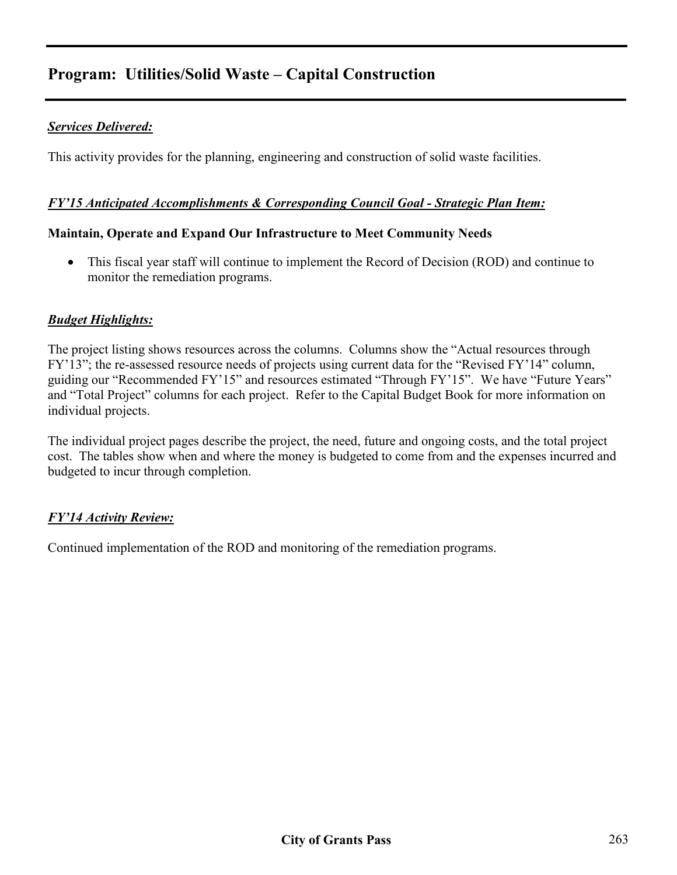# **Program: Utilities/Solid Waste – Capital Construction**

## *Services Delivered:*

This activity provides for the planning, engineering and construction of solid waste facilities.

#### *FY'15 Anticipated Accomplishments & Corresponding Council Goal - Strategic Plan Item:*

#### **Maintain, Operate and Expand Our Infrastructure to Meet Community Needs**

• This fiscal year staff will continue to implement the Record of Decision (ROD) and continue to monitor the remediation programs.

### *Budget Highlights:*

The project listing shows resources across the columns. Columns show the "Actual resources through FY'13"; the re-assessed resource needs of projects using current data for the "Revised FY'14" column, guiding our "Recommended FY'15" and resources estimated "Through FY'15". We have "Future Years" and "Total Project" columns for each project. Refer to the Capital Budget Book for more information on individual projects.

The individual project pages describe the project, the need, future and ongoing costs, and the total project cost. The tables show when and where the money is budgeted to come from and the expenses incurred and budgeted to incur through completion.

## *FY'14 Activity Review:*

Continued implementation of the ROD and monitoring of the remediation programs.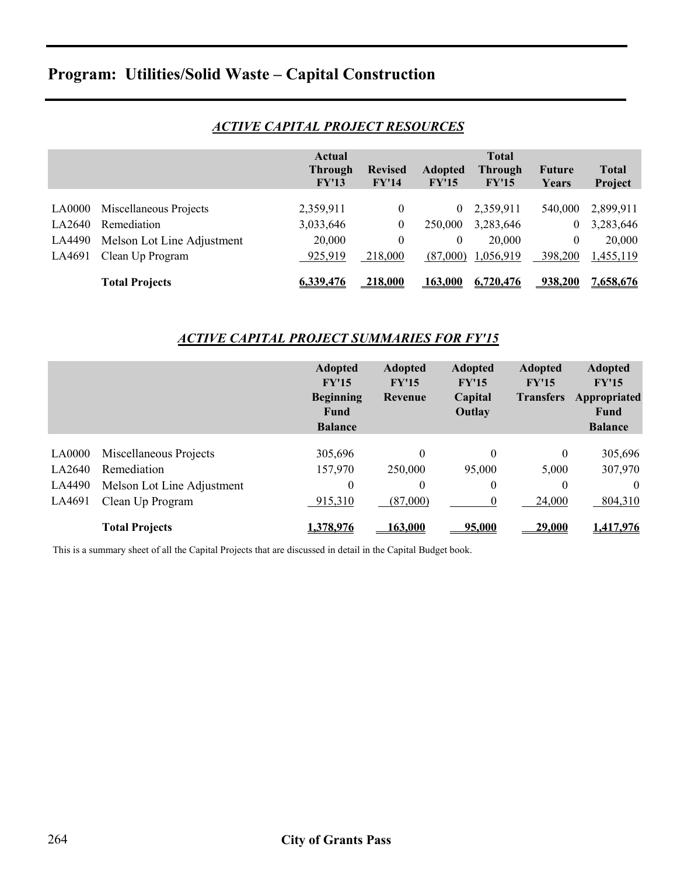# **Program: Utilities/Solid Waste – Capital Construction**

|               |                            | Actual<br><b>Through</b><br>FY'13 | <b>Revised</b><br>FY'14 | <b>Adopted</b><br>FY'15 | <b>Total</b><br><b>Through</b><br>FY'15 | <b>Future</b><br>Years | <b>Total</b><br>Project |
|---------------|----------------------------|-----------------------------------|-------------------------|-------------------------|-----------------------------------------|------------------------|-------------------------|
|               |                            |                                   |                         |                         |                                         |                        |                         |
| <b>LA0000</b> | Miscellaneous Projects     | 2,359,911                         | $\theta$                | $\overline{0}$          | 2,359,911                               | 540,000                | 2,899,911               |
| LA2640        | Remediation                | 3,033,646                         | $\boldsymbol{0}$        | 250,000                 | 3,283,646                               | $\mathbf{0}$           | 3,283,646               |
| LA4490        | Melson Lot Line Adjustment | 20,000                            | $\theta$                | $\theta$                | 20,000                                  | $\overline{0}$         | 20,000                  |
| LA4691        | Clean Up Program           | 925,919                           | 218,000                 | (87,000)                | 1,056,919                               | 398,200                | 1,455,119               |
|               | <b>Total Projects</b>      | 6,339,476                         | 218,000                 | 163,000                 | 6,720,476                               | 938,200                | <u>7,658,676</u>        |

## *ACTIVE CAPITAL PROJECT RESOURCES*

#### *ACTIVE CAPITAL PROJECT SUMMARIES FOR FY'15*

|        |                            | <b>Adopted</b><br>FY'15<br><b>Beginning</b><br>Fund<br><b>Balance</b> | <b>Adopted</b><br>FY'15<br><b>Revenue</b> | <b>Adopted</b><br>FY'15<br>Capital<br>Outlay | <b>Adopted</b><br>FY'15<br><b>Transfers</b> | <b>Adopted</b><br>FY'15<br>Appropriated<br>Fund<br><b>Balance</b> |
|--------|----------------------------|-----------------------------------------------------------------------|-------------------------------------------|----------------------------------------------|---------------------------------------------|-------------------------------------------------------------------|
| LA0000 | Miscellaneous Projects     | 305,696                                                               | 0                                         | $\theta$                                     | $\theta$                                    | 305,696                                                           |
| LA2640 | Remediation                | 157,970                                                               | 250,000                                   | 95,000                                       | 5,000                                       | 307,970                                                           |
| LA4490 | Melson Lot Line Adjustment | 0                                                                     | $\theta$                                  | $\theta$                                     | $\theta$                                    | $\theta$                                                          |
| LA4691 | Clean Up Program           | 915,310                                                               | (87,000)                                  | $\theta$                                     | 24,000                                      | 804,310                                                           |
|        | <b>Total Projects</b>      | 1,378,976                                                             | 163.000                                   | 95,000                                       | 29,000                                      | 1,417,976                                                         |

This is a summary sheet of all the Capital Projects that are discussed in detail in the Capital Budget book.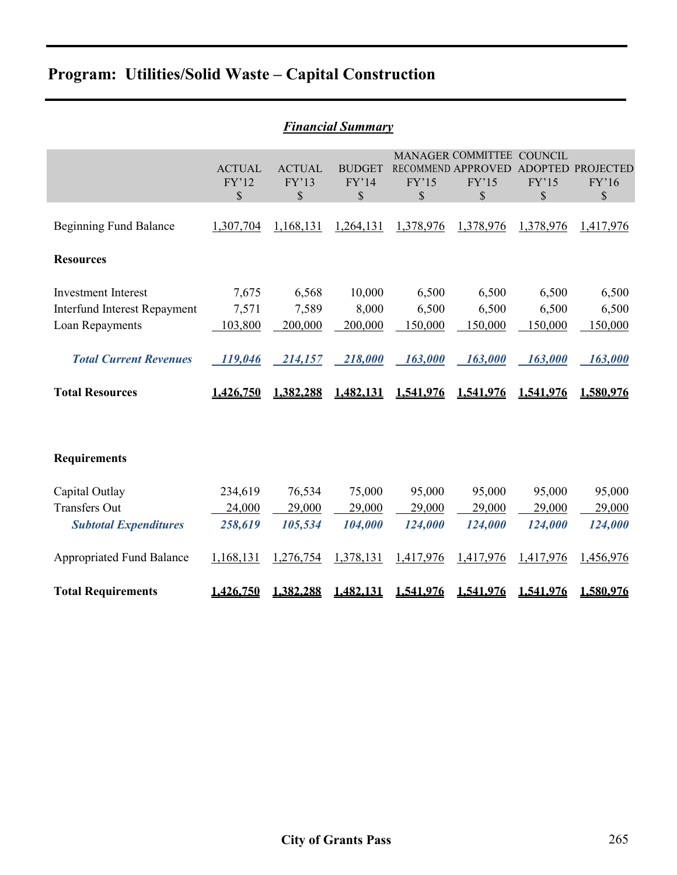# **Program: Utilities/Solid Waste – Capital Construction**

|                                                                                                                                                 |                                                   |                                                   | <b>Financial Summary</b>                           |                                                   |                                                                |                                                   |                                                   |
|-------------------------------------------------------------------------------------------------------------------------------------------------|---------------------------------------------------|---------------------------------------------------|----------------------------------------------------|---------------------------------------------------|----------------------------------------------------------------|---------------------------------------------------|---------------------------------------------------|
|                                                                                                                                                 | <b>ACTUAL</b><br>FY'12<br>\$                      | <b>ACTUAL</b><br>FY'13<br>\$                      | <b>BUDGET</b><br>FY'14<br>$\mathbb{S}$             | FY'15<br>\$                                       | MANAGER COMMITTEE COUNCIL<br>RECOMMEND APPROVED<br>FY'15<br>\$ | FY'15<br>\$                                       | <b>ADOPTED PROJECTED</b><br>FY'16<br>\$           |
| <b>Beginning Fund Balance</b>                                                                                                                   | 1,307,704                                         | 1,168,131                                         | 1,264,131                                          | 1,378,976                                         | 1,378,976                                                      | 1,378,976                                         | 1,417,976                                         |
| <b>Resources</b>                                                                                                                                |                                                   |                                                   |                                                    |                                                   |                                                                |                                                   |                                                   |
| <b>Investment Interest</b><br><b>Interfund Interest Repayment</b><br>Loan Repayments<br><b>Total Current Revenues</b><br><b>Total Resources</b> | 7,675<br>7,571<br>103,800<br>119,046<br>1,426,750 | 6,568<br>7,589<br>200,000<br>214,157<br>1,382,288 | 10,000<br>8,000<br>200,000<br>218,000<br>1,482,131 | 6,500<br>6,500<br>150,000<br>163,000<br>1,541,976 | 6,500<br>6,500<br>150,000<br>163,000<br>1,541,976              | 6,500<br>6,500<br>150,000<br>163,000<br>1,541,976 | 6,500<br>6,500<br>150,000<br>163,000<br>1,580,976 |
| <b>Requirements</b>                                                                                                                             |                                                   |                                                   |                                                    |                                                   |                                                                |                                                   |                                                   |
| Capital Outlay<br><b>Transfers Out</b><br><b>Subtotal Expenditures</b>                                                                          | 234,619<br>24,000<br>258,619                      | 76,534<br>29,000<br>105,534                       | 75,000<br>29,000<br>104,000                        | 95,000<br>29,000<br>124,000                       | 95,000<br>29,000<br>124,000                                    | 95,000<br>29,000<br>124,000                       | 95,000<br>29,000<br>124,000                       |
| <b>Appropriated Fund Balance</b>                                                                                                                | 1,168,131                                         | 1,276,754                                         | 1,378,131                                          | 1,417,976                                         | 1,417,976                                                      | 1,417,976                                         | 1,456,976                                         |
| <b>Total Requirements</b>                                                                                                                       | 1,426,750                                         | 1,382,288                                         | 1,482,131                                          | 1,541,976                                         | 1,541,976                                                      | 1,541,976                                         | 1,580,976                                         |